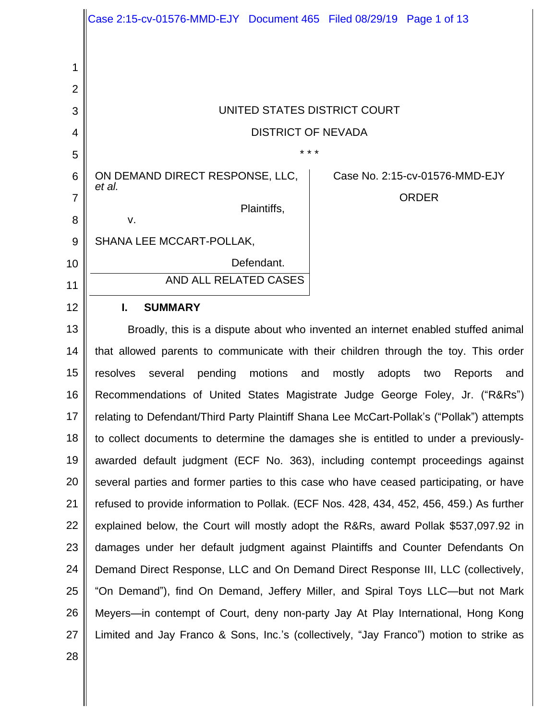|                | Case 2:15-cv-01576-MMD-EJY Document 465 Filed 08/29/19 Page 1 of 13                        |                                |
|----------------|--------------------------------------------------------------------------------------------|--------------------------------|
|                |                                                                                            |                                |
| 1              |                                                                                            |                                |
| $\overline{2}$ |                                                                                            |                                |
| 3              | UNITED STATES DISTRICT COURT                                                               |                                |
| 4              | <b>DISTRICT OF NEVADA</b>                                                                  |                                |
| 5              | * * *                                                                                      |                                |
| 6              | ON DEMAND DIRECT RESPONSE, LLC,<br>et al.                                                  | Case No. 2:15-cv-01576-MMD-EJY |
| $\overline{7}$ | Plaintiffs,                                                                                | <b>ORDER</b>                   |
| 8              | V.                                                                                         |                                |
| 9              | SHANA LEE MCCART-POLLAK,                                                                   |                                |
| 10             | Defendant.<br>AND ALL RELATED CASES                                                        |                                |
| 11             |                                                                                            |                                |
| 12             | <b>SUMMARY</b><br>L.                                                                       |                                |
| 13             | Broadly, this is a dispute about who invented an internet enabled stuffed animal           |                                |
| 14             | that allowed parents to communicate with their children through the toy. This order        |                                |
| 15             | several<br>pending<br>motions and<br>mostly<br>adopts<br>resolves<br>two<br>Reports<br>and |                                |
| 16             | Recommendations of United States Magistrate Judge George Foley, Jr. ("R&Rs")               |                                |
| 17             | relating to Defendant/Third Party Plaintiff Shana Lee McCart-Pollak's ("Pollak") attempts  |                                |
| 18             | to collect documents to determine the damages she is entitled to under a previously-       |                                |
| 19             | awarded default judgment (ECF No. 363), including contempt proceedings against             |                                |
| 20             | several parties and former parties to this case who have ceased participating, or have     |                                |
| 21             | refused to provide information to Pollak. (ECF Nos. 428, 434, 452, 456, 459.) As further   |                                |
| 22             | explained below, the Court will mostly adopt the R&Rs, award Pollak \$537,097.92 in        |                                |
| 23             | damages under her default judgment against Plaintiffs and Counter Defendants On            |                                |
| 24             | Demand Direct Response, LLC and On Demand Direct Response III, LLC (collectively,          |                                |
| 25             | "On Demand"), find On Demand, Jeffery Miller, and Spiral Toys LLC—but not Mark             |                                |
| 26             | Meyers—in contempt of Court, deny non-party Jay At Play International, Hong Kong           |                                |
| 27             | Limited and Jay Franco & Sons, Inc.'s (collectively, "Jay Franco") motion to strike as     |                                |
| 28             |                                                                                            |                                |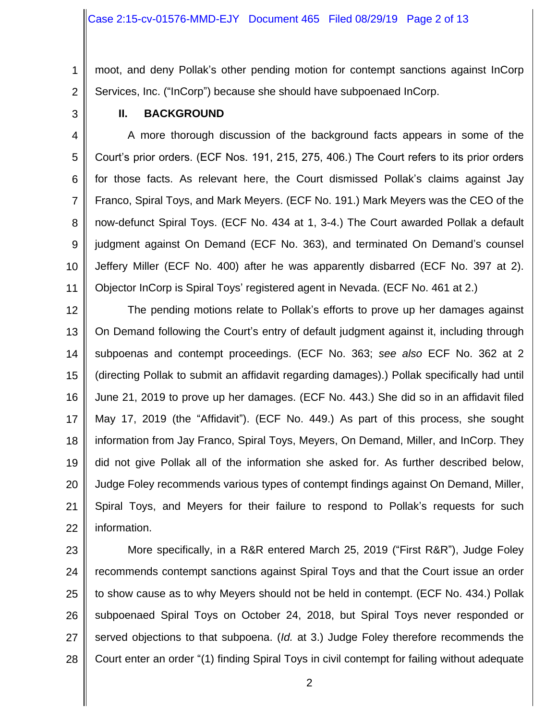1 2 moot, and deny Pollak's other pending motion for contempt sanctions against InCorp Services, Inc. ("InCorp") because she should have subpoenaed InCorp.

3

# **II. BACKGROUND**

4 5 6 7 8 9 10 11 A more thorough discussion of the background facts appears in some of the Court's prior orders. (ECF Nos. 191, 215, 275, 406.) The Court refers to its prior orders for those facts. As relevant here, the Court dismissed Pollak's claims against Jay Franco, Spiral Toys, and Mark Meyers. (ECF No. 191.) Mark Meyers was the CEO of the now-defunct Spiral Toys. (ECF No. 434 at 1, 3-4.) The Court awarded Pollak a default judgment against On Demand (ECF No. 363), and terminated On Demand's counsel Jeffery Miller (ECF No. 400) after he was apparently disbarred (ECF No. 397 at 2). Objector InCorp is Spiral Toys' registered agent in Nevada. (ECF No. 461 at 2.)

12 13 14 15 16 17 18 19 20 21 22 The pending motions relate to Pollak's efforts to prove up her damages against On Demand following the Court's entry of default judgment against it, including through subpoenas and contempt proceedings. (ECF No. 363; *see also* ECF No. 362 at 2 (directing Pollak to submit an affidavit regarding damages).) Pollak specifically had until June 21, 2019 to prove up her damages. (ECF No. 443.) She did so in an affidavit filed May 17, 2019 (the "Affidavit"). (ECF No. 449.) As part of this process, she sought information from Jay Franco, Spiral Toys, Meyers, On Demand, Miller, and InCorp. They did not give Pollak all of the information she asked for. As further described below, Judge Foley recommends various types of contempt findings against On Demand, Miller, Spiral Toys, and Meyers for their failure to respond to Pollak's requests for such information.

23 24 25 26 27 28 More specifically, in a R&R entered March 25, 2019 ("First R&R"), Judge Foley recommends contempt sanctions against Spiral Toys and that the Court issue an order to show cause as to why Meyers should not be held in contempt. (ECF No. 434.) Pollak subpoenaed Spiral Toys on October 24, 2018, but Spiral Toys never responded or served objections to that subpoena. (*Id.* at 3.) Judge Foley therefore recommends the Court enter an order "(1) finding Spiral Toys in civil contempt for failing without adequate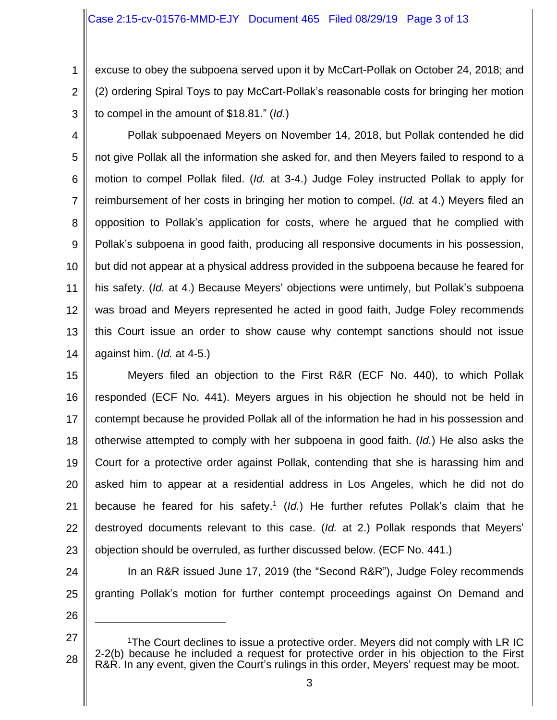1 2 3 excuse to obey the subpoena served upon it by McCart-Pollak on October 24, 2018; and (2) ordering Spiral Toys to pay McCart-Pollak's reasonable costs for bringing her motion to compel in the amount of \$18.81." (*Id.*)

4 5 6 7 8 9 10 11 12 13 14 Pollak subpoenaed Meyers on November 14, 2018, but Pollak contended he did not give Pollak all the information she asked for, and then Meyers failed to respond to a motion to compel Pollak filed. (*Id.* at 3-4.) Judge Foley instructed Pollak to apply for reimbursement of her costs in bringing her motion to compel. (*Id.* at 4.) Meyers filed an opposition to Pollak's application for costs, where he argued that he complied with Pollak's subpoena in good faith, producing all responsive documents in his possession, but did not appear at a physical address provided in the subpoena because he feared for his safety. (*Id.* at 4.) Because Meyers' objections were untimely, but Pollak's subpoena was broad and Meyers represented he acted in good faith, Judge Foley recommends this Court issue an order to show cause why contempt sanctions should not issue against him. (*Id.* at 4-5.)

15 16 17 18 19 20 21 22 23 Meyers filed an objection to the First R&R (ECF No. 440), to which Pollak responded (ECF No. 441). Meyers argues in his objection he should not be held in contempt because he provided Pollak all of the information he had in his possession and otherwise attempted to comply with her subpoena in good faith. (*Id.*) He also asks the Court for a protective order against Pollak, contending that she is harassing him and asked him to appear at a residential address in Los Angeles, which he did not do because he feared for his safety.<sup>1</sup> (*Id.*) He further refutes Pollak's claim that he destroyed documents relevant to this case. (*Id.* at 2.) Pollak responds that Meyers' objection should be overruled, as further discussed below. (ECF No. 441.)

24 25 In an R&R issued June 17, 2019 (the "Second R&R"), Judge Foley recommends granting Pollak's motion for further contempt proceedings against On Demand and

<sup>27</sup> 28 <sup>1</sup>The Court declines to issue a protective order. Meyers did not comply with LR IC 2-2(b) because he included a request for protective order in his objection to the First R&R. In any event, given the Court's rulings in this order, Meyers' request may be moot.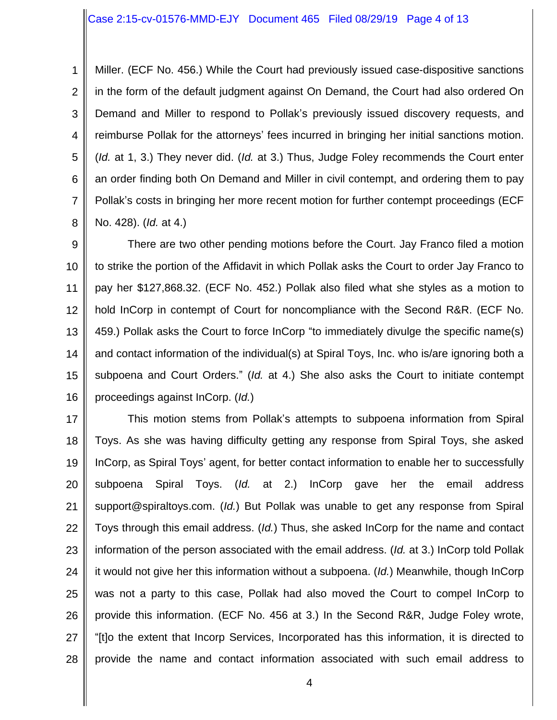#### Case 2:15-cv-01576-MMD-EJY Document 465 Filed 08/29/19 Page 4 of 13

1 2 3 4 5 6 7 8 Miller. (ECF No. 456.) While the Court had previously issued case-dispositive sanctions in the form of the default judgment against On Demand, the Court had also ordered On Demand and Miller to respond to Pollak's previously issued discovery requests, and reimburse Pollak for the attorneys' fees incurred in bringing her initial sanctions motion. (*Id.* at 1, 3.) They never did. (*Id.* at 3.) Thus, Judge Foley recommends the Court enter an order finding both On Demand and Miller in civil contempt, and ordering them to pay Pollak's costs in bringing her more recent motion for further contempt proceedings (ECF No. 428). (*Id.* at 4.)

9 10 11 12 13 14 15 16 There are two other pending motions before the Court. Jay Franco filed a motion to strike the portion of the Affidavit in which Pollak asks the Court to order Jay Franco to pay her \$127,868.32. (ECF No. 452.) Pollak also filed what she styles as a motion to hold InCorp in contempt of Court for noncompliance with the Second R&R. (ECF No. 459.) Pollak asks the Court to force InCorp "to immediately divulge the specific name(s) and contact information of the individual(s) at Spiral Toys, Inc. who is/are ignoring both a subpoena and Court Orders." (*Id.* at 4.) She also asks the Court to initiate contempt proceedings against InCorp. (*Id.*)

17 18 19 20 21 22 23 24 25 26 27 28 This motion stems from Pollak's attempts to subpoena information from Spiral Toys. As she was having difficulty getting any response from Spiral Toys, she asked InCorp, as Spiral Toys' agent, for better contact information to enable her to successfully subpoena Spiral Toys. (*Id.* at 2.) InCorp gave her the email address support@spiraltoys.com. (*Id.*) But Pollak was unable to get any response from Spiral Toys through this email address. (*Id.*) Thus, she asked InCorp for the name and contact information of the person associated with the email address. (*Id.* at 3.) InCorp told Pollak it would not give her this information without a subpoena. (*Id.*) Meanwhile, though InCorp was not a party to this case, Pollak had also moved the Court to compel InCorp to provide this information. (ECF No. 456 at 3.) In the Second R&R, Judge Foley wrote, "[t]o the extent that Incorp Services, Incorporated has this information, it is directed to provide the name and contact information associated with such email address to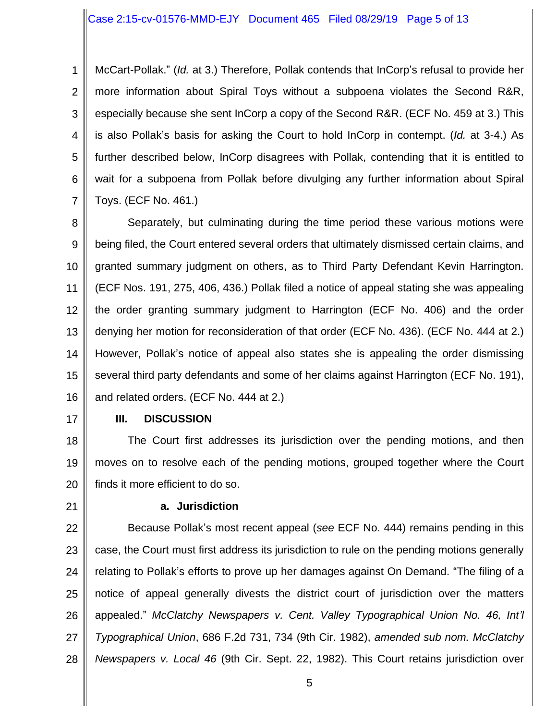#### Case 2:15-cv-01576-MMD-EJY Document 465 Filed 08/29/19 Page 5 of 13

1 2 3 4 5 6 7 McCart-Pollak." (*Id.* at 3.) Therefore, Pollak contends that InCorp's refusal to provide her more information about Spiral Toys without a subpoena violates the Second R&R, especially because she sent InCorp a copy of the Second R&R. (ECF No. 459 at 3.) This is also Pollak's basis for asking the Court to hold InCorp in contempt. (*Id.* at 3-4.) As further described below, InCorp disagrees with Pollak, contending that it is entitled to wait for a subpoena from Pollak before divulging any further information about Spiral Toys. (ECF No. 461.)

8 9 10 11 12 13 14 15 16 Separately, but culminating during the time period these various motions were being filed, the Court entered several orders that ultimately dismissed certain claims, and granted summary judgment on others, as to Third Party Defendant Kevin Harrington. (ECF Nos. 191, 275, 406, 436.) Pollak filed a notice of appeal stating she was appealing the order granting summary judgment to Harrington (ECF No. 406) and the order denying her motion for reconsideration of that order (ECF No. 436). (ECF No. 444 at 2.) However, Pollak's notice of appeal also states she is appealing the order dismissing several third party defendants and some of her claims against Harrington (ECF No. 191), and related orders. (ECF No. 444 at 2.)

17

### **III. DISCUSSION**

18 19 20 The Court first addresses its jurisdiction over the pending motions, and then moves on to resolve each of the pending motions, grouped together where the Court finds it more efficient to do so.

21

#### **a. Jurisdiction**

22 23 24 25 26 27 28 Because Pollak's most recent appeal (*see* ECF No. 444) remains pending in this case, the Court must first address its jurisdiction to rule on the pending motions generally relating to Pollak's efforts to prove up her damages against On Demand. "The filing of a notice of appeal generally divests the district court of jurisdiction over the matters appealed." *McClatchy Newspapers v. Cent. Valley Typographical Union No. 46, Int'l Typographical Union*, 686 F.2d 731, 734 (9th Cir. 1982), *amended sub nom. McClatchy Newspapers v. Local 46* (9th Cir. Sept. 22, 1982). This Court retains jurisdiction over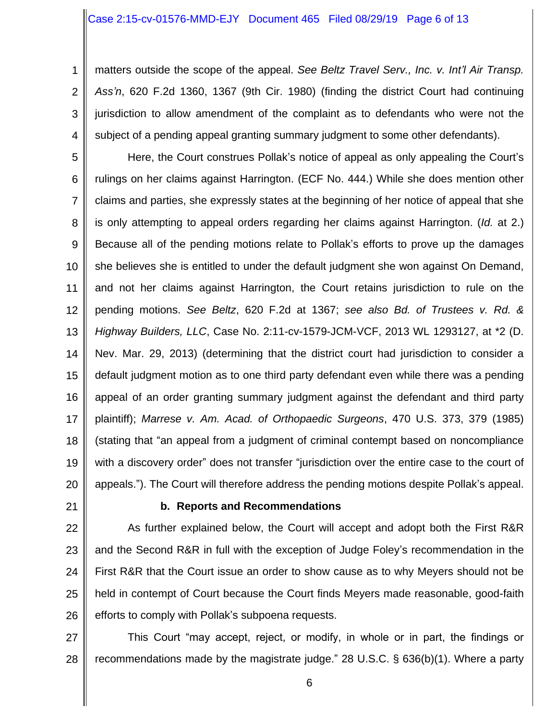#### Case 2:15-cv-01576-MMD-EJY Document 465 Filed 08/29/19 Page 6 of 13

1 2 3 4 matters outside the scope of the appeal. *See Beltz Travel Serv., Inc. v. Int'l Air Transp. Ass'n*, 620 F.2d 1360, 1367 (9th Cir. 1980) (finding the district Court had continuing jurisdiction to allow amendment of the complaint as to defendants who were not the subject of a pending appeal granting summary judgment to some other defendants).

5 6 7 8 9 10 11 12 13 14 15 16 17 18 19 20 Here, the Court construes Pollak's notice of appeal as only appealing the Court's rulings on her claims against Harrington. (ECF No. 444.) While she does mention other claims and parties, she expressly states at the beginning of her notice of appeal that she is only attempting to appeal orders regarding her claims against Harrington. (*Id.* at 2.) Because all of the pending motions relate to Pollak's efforts to prove up the damages she believes she is entitled to under the default judgment she won against On Demand, and not her claims against Harrington, the Court retains jurisdiction to rule on the pending motions. *See Beltz*, 620 F.2d at 1367; *see also Bd. of Trustees v. Rd. & Highway Builders, LLC*, Case No. 2:11-cv-1579-JCM-VCF, 2013 WL 1293127, at \*2 (D. Nev. Mar. 29, 2013) (determining that the district court had jurisdiction to consider a default judgment motion as to one third party defendant even while there was a pending appeal of an order granting summary judgment against the defendant and third party plaintiff); *Marrese v. Am. Acad. of Orthopaedic Surgeons*, 470 U.S. 373, 379 (1985) (stating that "an appeal from a judgment of criminal contempt based on noncompliance with a discovery order" does not transfer "jurisdiction over the entire case to the court of appeals."). The Court will therefore address the pending motions despite Pollak's appeal.

21

### **b. Reports and Recommendations**

22 23 24 25 26 As further explained below, the Court will accept and adopt both the First R&R and the Second R&R in full with the exception of Judge Foley's recommendation in the First R&R that the Court issue an order to show cause as to why Meyers should not be held in contempt of Court because the Court finds Meyers made reasonable, good-faith efforts to comply with Pollak's subpoena requests.

27 28 This Court "may accept, reject, or modify, in whole or in part, the findings or recommendations made by the magistrate judge." 28 U.S.C. § 636(b)(1). Where a party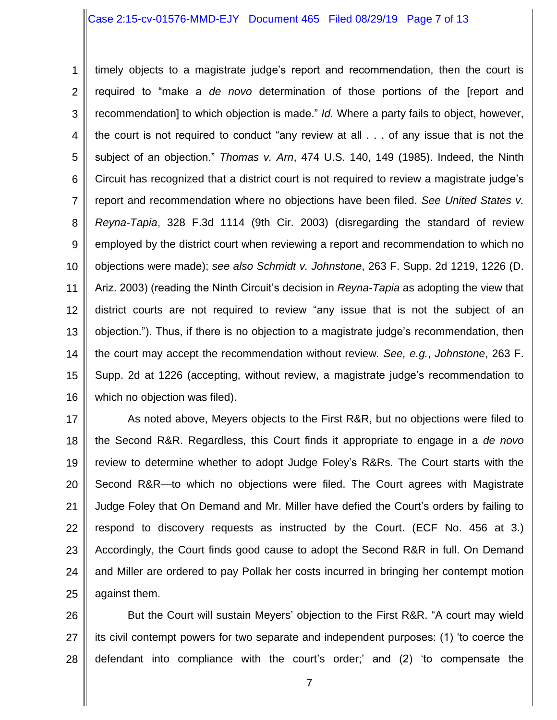#### Case 2:15-cv-01576-MMD-EJY Document 465 Filed 08/29/19 Page 7 of 13

1 2 3 4 5 6 7 8 9 10 11 12 13 14 15 16 timely objects to a magistrate judge's report and recommendation, then the court is required to "make a *de novo* determination of those portions of the [report and recommendation] to which objection is made." *Id.* Where a party fails to object, however, the court is not required to conduct "any review at all . . . of any issue that is not the subject of an objection." *Thomas v. Arn*, 474 U.S. 140, 149 (1985). Indeed, the Ninth Circuit has recognized that a district court is not required to review a magistrate judge's report and recommendation where no objections have been filed. *See United States v. Reyna-Tapia*, 328 F.3d 1114 (9th Cir. 2003) (disregarding the standard of review employed by the district court when reviewing a report and recommendation to which no objections were made); *see also Schmidt v. Johnstone*, 263 F. Supp. 2d 1219, 1226 (D. Ariz. 2003) (reading the Ninth Circuit's decision in *Reyna-Tapia* as adopting the view that district courts are not required to review "any issue that is not the subject of an objection."). Thus, if there is no objection to a magistrate judge's recommendation, then the court may accept the recommendation without review*. See, e.g.*, *Johnstone*, 263 F. Supp. 2d at 1226 (accepting, without review, a magistrate judge's recommendation to which no objection was filed).

17 18 19 20 21 22 23 24 25 As noted above, Meyers objects to the First R&R, but no objections were filed to the Second R&R. Regardless, this Court finds it appropriate to engage in a *de novo* review to determine whether to adopt Judge Foley's R&Rs. The Court starts with the Second R&R—to which no objections were filed. The Court agrees with Magistrate Judge Foley that On Demand and Mr. Miller have defied the Court's orders by failing to respond to discovery requests as instructed by the Court. (ECF No. 456 at 3.) Accordingly, the Court finds good cause to adopt the Second R&R in full. On Demand and Miller are ordered to pay Pollak her costs incurred in bringing her contempt motion against them.

26 27 28 But the Court will sustain Meyers' objection to the First R&R. "A court may wield its civil contempt powers for two separate and independent purposes: (1) 'to coerce the defendant into compliance with the court's order;' and (2) 'to compensate the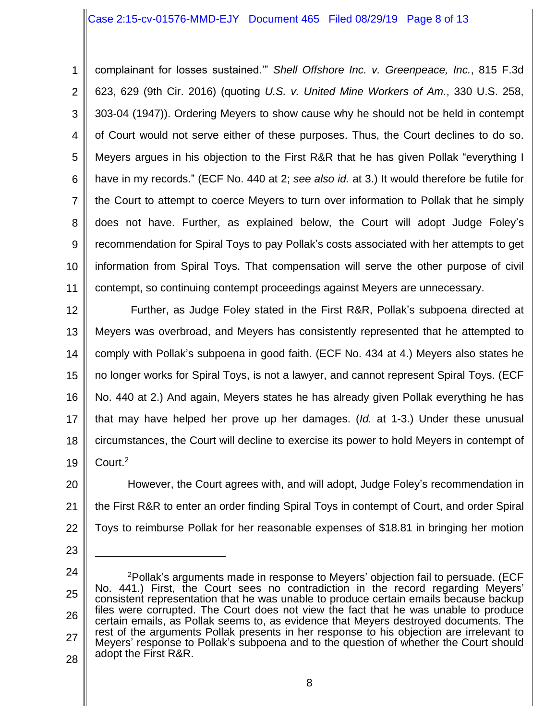### Case 2:15-cv-01576-MMD-EJY Document 465 Filed 08/29/19 Page 8 of 13

1 2 3 4 5 6 7 8 9 10 11 complainant for losses sustained.'" *Shell Offshore Inc. v. Greenpeace, Inc.*, 815 F.3d 623, 629 (9th Cir. 2016) (quoting *U.S. v. United Mine Workers of Am.*, 330 U.S. 258, 303-04 (1947)). Ordering Meyers to show cause why he should not be held in contempt of Court would not serve either of these purposes. Thus, the Court declines to do so. Meyers argues in his objection to the First R&R that he has given Pollak "everything I have in my records." (ECF No. 440 at 2; *see also id.* at 3.) It would therefore be futile for the Court to attempt to coerce Meyers to turn over information to Pollak that he simply does not have. Further, as explained below, the Court will adopt Judge Foley's recommendation for Spiral Toys to pay Pollak's costs associated with her attempts to get information from Spiral Toys. That compensation will serve the other purpose of civil contempt, so continuing contempt proceedings against Meyers are unnecessary.

12 13 14 15 16 17 18 19 Further, as Judge Foley stated in the First R&R, Pollak's subpoena directed at Meyers was overbroad, and Meyers has consistently represented that he attempted to comply with Pollak's subpoena in good faith. (ECF No. 434 at 4.) Meyers also states he no longer works for Spiral Toys, is not a lawyer, and cannot represent Spiral Toys. (ECF No. 440 at 2.) And again, Meyers states he has already given Pollak everything he has that may have helped her prove up her damages. (*Id.* at 1-3.) Under these unusual circumstances, the Court will decline to exercise its power to hold Meyers in contempt of Court.<sup>2</sup>

20 21 22 However, the Court agrees with, and will adopt, Judge Foley's recommendation in the First R&R to enter an order finding Spiral Toys in contempt of Court, and order Spiral Toys to reimburse Pollak for her reasonable expenses of \$18.81 in bringing her motion

23

<sup>24</sup> 25 26 27 28 <sup>2</sup>Pollak's arguments made in response to Meyers' objection fail to persuade. (ECF No. 441.) First, the Court sees no contradiction in the record regarding Meyers' consistent representation that he was unable to produce certain emails because backup files were corrupted. The Court does not view the fact that he was unable to produce certain emails, as Pollak seems to, as evidence that Meyers destroyed documents. The rest of the arguments Pollak presents in her response to his objection are irrelevant to Meyers' response to Pollak's subpoena and to the question of whether the Court should adopt the First R&R.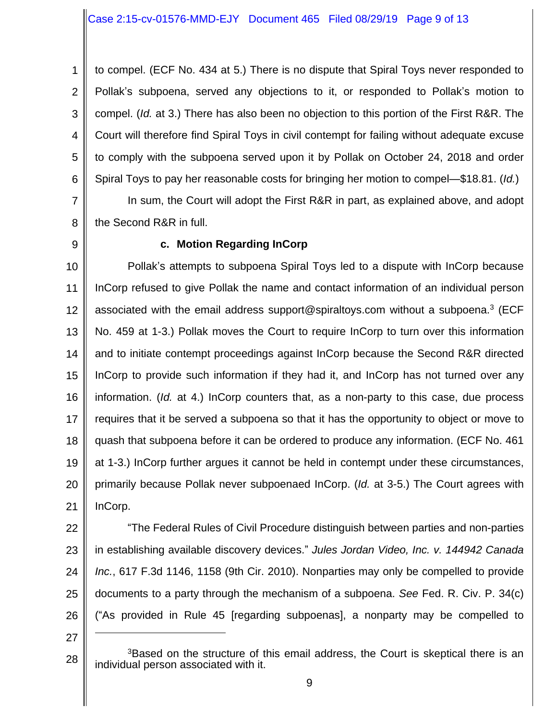### Case 2:15-cv-01576-MMD-EJY Document 465 Filed 08/29/19 Page 9 of 13

1 2 3 4 5 6 to compel. (ECF No. 434 at 5.) There is no dispute that Spiral Toys never responded to Pollak's subpoena, served any objections to it, or responded to Pollak's motion to compel. (*Id.* at 3.) There has also been no objection to this portion of the First R&R. The Court will therefore find Spiral Toys in civil contempt for failing without adequate excuse to comply with the subpoena served upon it by Pollak on October 24, 2018 and order Spiral Toys to pay her reasonable costs for bringing her motion to compel—\$18.81. (*Id.*)

7 8 In sum, the Court will adopt the First R&R in part, as explained above, and adopt the Second R&R in full.

9

### **c. Motion Regarding InCorp**

10 11 12 13 14 15 16 17 18 19 20 21 Pollak's attempts to subpoena Spiral Toys led to a dispute with InCorp because InCorp refused to give Pollak the name and contact information of an individual person associated with the email address support@spiraltoys.com without a subpoena.<sup>3</sup> (ECF No. 459 at 1-3.) Pollak moves the Court to require InCorp to turn over this information and to initiate contempt proceedings against InCorp because the Second R&R directed InCorp to provide such information if they had it, and InCorp has not turned over any information. (*Id.* at 4.) InCorp counters that, as a non-party to this case, due process requires that it be served a subpoena so that it has the opportunity to object or move to quash that subpoena before it can be ordered to produce any information. (ECF No. 461 at 1-3.) InCorp further argues it cannot be held in contempt under these circumstances, primarily because Pollak never subpoenaed InCorp. (*Id.* at 3-5.) The Court agrees with InCorp.

22 23 24 25 26 "The Federal Rules of Civil Procedure distinguish between parties and non-parties in establishing available discovery devices." *Jules Jordan Video, Inc. v. 144942 Canada Inc.*, 617 F.3d 1146, 1158 (9th Cir. 2010). Nonparties may only be compelled to provide documents to a party through the mechanism of a subpoena. *See* Fed. R. Civ. P. 34(c) ("As provided in Rule 45 [regarding subpoenas], a nonparty may be compelled to

<sup>28</sup> <sup>3</sup>Based on the structure of this email address, the Court is skeptical there is an individual person associated with it.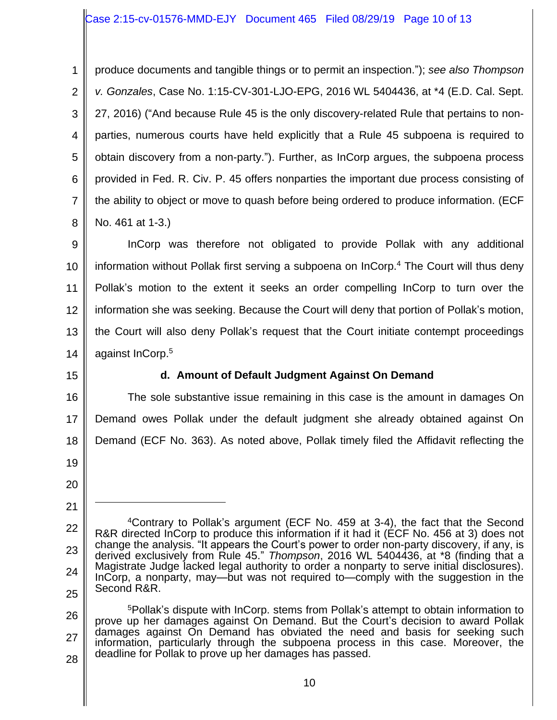### Case 2:15-cv-01576-MMD-EJY Document 465 Filed 08/29/19 Page 10 of 13

1 2 3 4 5 6 7 8 produce documents and tangible things or to permit an inspection."); *see also Thompson v. Gonzales*, Case No. 1:15-CV-301-LJO-EPG, 2016 WL 5404436, at \*4 (E.D. Cal. Sept. 27, 2016) ("And because Rule 45 is the only discovery-related Rule that pertains to nonparties, numerous courts have held explicitly that a Rule 45 subpoena is required to obtain discovery from a non-party."). Further, as InCorp argues, the subpoena process provided in Fed. R. Civ. P. 45 offers nonparties the important due process consisting of the ability to object or move to quash before being ordered to produce information. (ECF No. 461 at 1-3.)

9 10 11 12 13 14 InCorp was therefore not obligated to provide Pollak with any additional information without Pollak first serving a subpoena on InCorp. <sup>4</sup> The Court will thus deny Pollak's motion to the extent it seeks an order compelling InCorp to turn over the information she was seeking. Because the Court will deny that portion of Pollak's motion, the Court will also deny Pollak's request that the Court initiate contempt proceedings against InCorp.<sup>5</sup>

15

## **d. Amount of Default Judgment Against On Demand**

16 17 18 The sole substantive issue remaining in this case is the amount in damages On Demand owes Pollak under the default judgment she already obtained against On Demand (ECF No. 363). As noted above, Pollak timely filed the Affidavit reflecting the

- 19
- 20

<sup>22</sup> 23 24 25 <sup>4</sup>Contrary to Pollak's argument (ECF No. 459 at 3-4), the fact that the Second R&R directed InCorp to produce this information if it had it (ECF No. 456 at 3) does not change the analysis. "It appears the Court's power to order non-party discovery, if any, is derived exclusively from Rule 45." *Thompson*, 2016 WL 5404436, at \*8 (finding that a Magistrate Judge lacked legal authority to order a nonparty to serve initial disclosures). InCorp, a nonparty, may—but was not required to—comply with the suggestion in the Second R&R.

<sup>26</sup> 27 28 <sup>5</sup>Pollak's dispute with InCorp. stems from Pollak's attempt to obtain information to prove up her damages against On Demand. But the Court's decision to award Pollak damages against On Demand has obviated the need and basis for seeking such information, particularly through the subpoena process in this case. Moreover, the deadline for Pollak to prove up her damages has passed.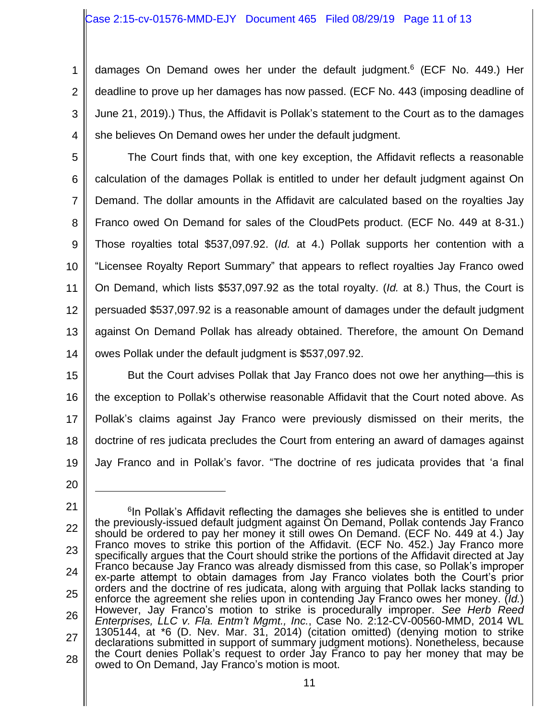1 2 3 4 damages On Demand owes her under the default judgment.<sup>6</sup> (ECF No. 449.) Her deadline to prove up her damages has now passed. (ECF No. 443 (imposing deadline of June 21, 2019).) Thus, the Affidavit is Pollak's statement to the Court as to the damages she believes On Demand owes her under the default judgment.

5 6 7 8 9 10 11 12 13 14 The Court finds that, with one key exception, the Affidavit reflects a reasonable calculation of the damages Pollak is entitled to under her default judgment against On Demand. The dollar amounts in the Affidavit are calculated based on the royalties Jay Franco owed On Demand for sales of the CloudPets product. (ECF No. 449 at 8-31.) Those royalties total \$537,097.92. (*Id.* at 4.) Pollak supports her contention with a "Licensee Royalty Report Summary" that appears to reflect royalties Jay Franco owed On Demand, which lists \$537,097.92 as the total royalty. (*Id.* at 8.) Thus, the Court is persuaded \$537,097.92 is a reasonable amount of damages under the default judgment against On Demand Pollak has already obtained. Therefore, the amount On Demand owes Pollak under the default judgment is \$537,097.92.

15 16 17 18 19 But the Court advises Pollak that Jay Franco does not owe her anything—this is the exception to Pollak's otherwise reasonable Affidavit that the Court noted above. As Pollak's claims against Jay Franco were previously dismissed on their merits, the doctrine of res judicata precludes the Court from entering an award of damages against Jay Franco and in Pollak's favor. "The doctrine of res judicata provides that 'a final

<sup>21</sup> 22 23 24 25 26 27 28 <sup>6</sup>In Pollak's Affidavit reflecting the damages she believes she is entitled to under the previously-issued default judgment against On Demand, Pollak contends Jay Franco should be ordered to pay her money it still owes On Demand. (ECF No. 449 at 4.) Jay Franco moves to strike this portion of the Affidavit. (ECF No. 452.) Jay Franco more specifically argues that the Court should strike the portions of the Affidavit directed at Jay Franco because Jay Franco was already dismissed from this case, so Pollak's improper ex-parte attempt to obtain damages from Jay Franco violates both the Court's prior orders and the doctrine of res judicata, along with arguing that Pollak lacks standing to enforce the agreement she relies upon in contending Jay Franco owes her money. (*Id.*) However, Jay Franco's motion to strike is procedurally improper. *See Herb Reed Enterprises, LLC v. Fla. Entm't Mgmt., Inc.*, Case No. 2:12-CV-00560-MMD, 2014 WL 1305144, at \*6 (D. Nev. Mar. 31, 2014) (citation omitted) (denying motion to strike declarations submitted in support of summary judgment motions). Nonetheless, because the Court denies Pollak's request to order Jay Franco to pay her money that may be owed to On Demand, Jay Franco's motion is moot.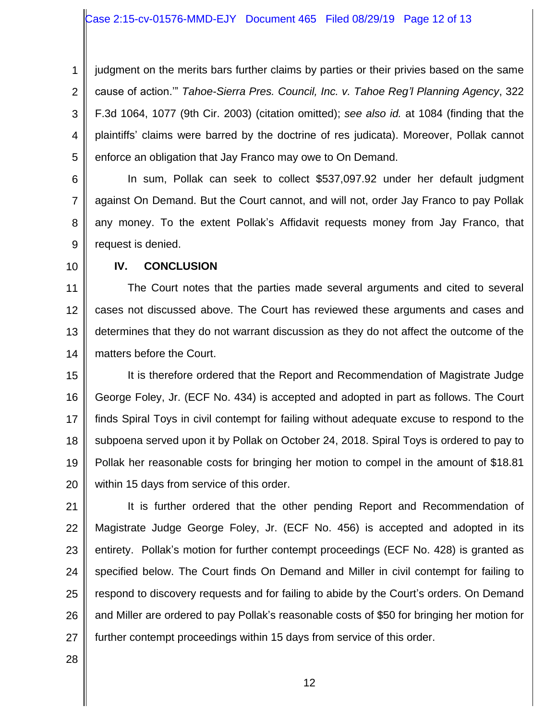1 2 3 4 5 judgment on the merits bars further claims by parties or their privies based on the same cause of action.'" *Tahoe-Sierra Pres. Council, Inc. v. Tahoe Reg'l Planning Agency*, 322 F.3d 1064, 1077 (9th Cir. 2003) (citation omitted); *see also id.* at 1084 (finding that the plaintiffs' claims were barred by the doctrine of res judicata). Moreover, Pollak cannot enforce an obligation that Jay Franco may owe to On Demand.

6 7 8 9 In sum, Pollak can seek to collect \$537,097.92 under her default judgment against On Demand. But the Court cannot, and will not, order Jay Franco to pay Pollak any money. To the extent Pollak's Affidavit requests money from Jay Franco, that request is denied.

10

### **IV. CONCLUSION**

11 12 13 14 The Court notes that the parties made several arguments and cited to several cases not discussed above. The Court has reviewed these arguments and cases and determines that they do not warrant discussion as they do not affect the outcome of the matters before the Court.

15 16 17 18 19 20 It is therefore ordered that the Report and Recommendation of Magistrate Judge George Foley, Jr. (ECF No. 434) is accepted and adopted in part as follows. The Court finds Spiral Toys in civil contempt for failing without adequate excuse to respond to the subpoena served upon it by Pollak on October 24, 2018. Spiral Toys is ordered to pay to Pollak her reasonable costs for bringing her motion to compel in the amount of \$18.81 within 15 days from service of this order.

21 22 23 24 25 26 27 It is further ordered that the other pending Report and Recommendation of Magistrate Judge George Foley, Jr. (ECF No. 456) is accepted and adopted in its entirety. Pollak's motion for further contempt proceedings (ECF No. 428) is granted as specified below. The Court finds On Demand and Miller in civil contempt for failing to respond to discovery requests and for failing to abide by the Court's orders. On Demand and Miller are ordered to pay Pollak's reasonable costs of \$50 for bringing her motion for further contempt proceedings within 15 days from service of this order.

28